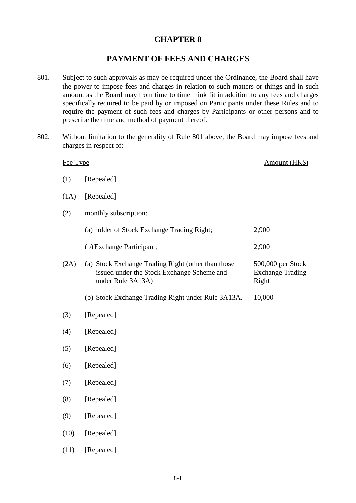## **CHAPTER 8**

## **PAYMENT OF FEES AND CHARGES**

- 801. Subject to such approvals as may be required under the Ordinance, the Board shall have the power to impose fees and charges in relation to such matters or things and in such amount as the Board may from time to time think fit in addition to any fees and charges specifically required to be paid by or imposed on Participants under these Rules and to require the payment of such fees and charges by Participants or other persons and to prescribe the time and method of payment thereof.
- 802. Without limitation to the generality of Rule 801 above, the Board may impose fees and charges in respect of:-

| Fee Type |                                                                                                                       | Amount (HK\$)                                         |
|----------|-----------------------------------------------------------------------------------------------------------------------|-------------------------------------------------------|
| (1)      | [Repealed]                                                                                                            |                                                       |
| (1A)     | [Repealed]                                                                                                            |                                                       |
| (2)      | monthly subscription:                                                                                                 |                                                       |
|          | (a) holder of Stock Exchange Trading Right;                                                                           | 2,900                                                 |
|          | (b) Exchange Participant;                                                                                             | 2,900                                                 |
| (2A)     | (a) Stock Exchange Trading Right (other than those<br>issued under the Stock Exchange Scheme and<br>under Rule 3A13A) | 500,000 per Stock<br><b>Exchange Trading</b><br>Right |
|          | (b) Stock Exchange Trading Right under Rule 3A13A.                                                                    | 10,000                                                |
| (3)      | [Repealed]                                                                                                            |                                                       |
| (4)      | [Repealed]                                                                                                            |                                                       |
| (5)      | [Repealed]                                                                                                            |                                                       |
| (6)      | [Repealed]                                                                                                            |                                                       |
| (7)      | [Repealed]                                                                                                            |                                                       |
| (8)      | [Repealed]                                                                                                            |                                                       |
| (9)      | [Repealed]                                                                                                            |                                                       |
| (10)     | [Repealed]                                                                                                            |                                                       |
| (11)     | [Repealed]                                                                                                            |                                                       |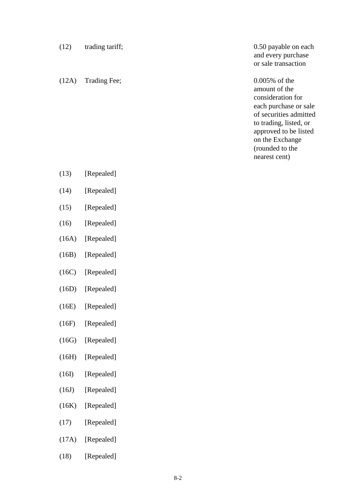(12A) Trading Fee; 0.005% of the

(12) trading tariff; 0.50 payable on each and every purchase or sale transaction

> amount of the consideration for each purchase or sale of securities admitted to trading, listed, or approved to be listed on the Exchange (rounded to the nearest cent)

- (13) [Repealed]
- (14) [Repealed]
- (15) [Repealed]
- (16) [Repealed]
- (16A) [Repealed]
- (16B) [Repealed]
- (16C) [Repealed]
- (16D) [Repealed]
- (16E) [Repealed]
- (16F) [Repealed]
- (16G) [Repealed]
- (16H) [Repealed]
- (16I) [Repealed]
- (16J) [Repealed]
- (16K) [Repealed]
- (17) [Repealed]
- (17A) [Repealed]
- (18) [Repealed]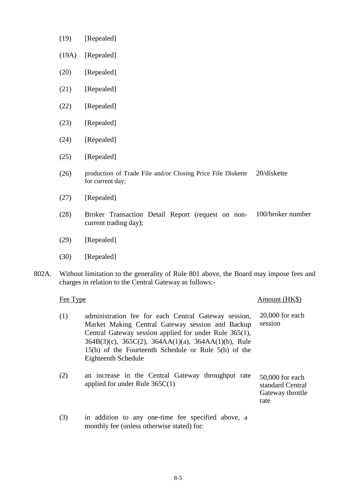- (19) [Repealed]
- (19A) [Repealed]
- (20) [Repealed]
- (21) [Repealed]
- (22) [Repealed]
- (23) [Repealed]
- (24) [Repealed]
- (25) [Repealed]
- (26) production of Trade File and/or Closing Price File Diskette for current day; 20/diskette
- (27) [Repealed]
- (28) Broker Transaction Detail Report (request on noncurrent trading day); 100/broker number
- (29) [Repealed]
- (30) [Repealed]
- 802A. Without limitation to the generality of Rule 801 above, the Board may impose fees and charges in relation to the Central Gateway as follows:-

| Fee Type                                                                                                                                                                                                                                                                                                                        | Amount (HK\$)                                                   |
|---------------------------------------------------------------------------------------------------------------------------------------------------------------------------------------------------------------------------------------------------------------------------------------------------------------------------------|-----------------------------------------------------------------|
| (1)<br>administration fee for each Central Gateway session,<br>Market Making Central Gateway session and Backup<br>Central Gateway session applied for under Rule 365(1),<br>$364B(3)(c)$ , $365C(2)$ , $364AA(1)(a)$ , $364AA(1)(b)$ , Rule<br>$15(b)$ of the Fourteenth Schedule or Rule $5(b)$ of the<br>Eighteenth Schedule | $20,000$ for each<br>session                                    |
| (2)<br>an increase in the Central Gateway throughput rate<br>applied for under Rule $365C(1)$                                                                                                                                                                                                                                   | 50,000 for each<br>standard Central<br>Gateway throttle<br>rate |
| (3)<br>in addition to any one-time fee specified above, a<br>monthly fee (unless otherwise stated) for:                                                                                                                                                                                                                         |                                                                 |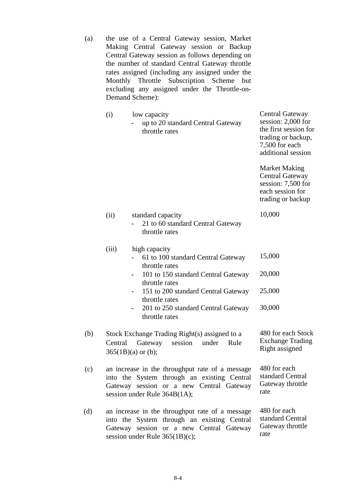(a) the use of a Central Gateway session, Market Making Central Gateway session or Backup Central Gateway session as follows depending on the number of standard Central Gateway throttle rates assigned (including any assigned under the Monthly Throttle Subscription Scheme but excluding any assigned under the Throttle-on-Demand Scheme):

|     | (i)     | low capacity<br>up to 20 standard Central Gateway<br>throttle rates                                                                                                        | Central Gateway<br>session: 2,000 for<br>the first session for<br>trading or backup,<br>7,500 for each<br>additional session |
|-----|---------|----------------------------------------------------------------------------------------------------------------------------------------------------------------------------|------------------------------------------------------------------------------------------------------------------------------|
|     |         |                                                                                                                                                                            | <b>Market Making</b><br><b>Central Gateway</b><br>session: 7,500 for<br>each session for<br>trading or backup                |
|     | (ii)    | standard capacity<br>21 to 60 standard Central Gateway<br>throttle rates                                                                                                   | 10,000                                                                                                                       |
|     | (iii)   | high capacity<br>61 to 100 standard Central Gateway<br>throttle rates                                                                                                      | 15,000                                                                                                                       |
|     |         | 101 to 150 standard Central Gateway<br>throttle rates                                                                                                                      | 20,000                                                                                                                       |
|     |         | 151 to 200 standard Central Gateway<br>$\overline{\phantom{0}}$<br>throttle rates                                                                                          | 25,000                                                                                                                       |
|     |         | 201 to 250 standard Central Gateway<br>throttle rates                                                                                                                      | 30,000                                                                                                                       |
| (b) | Central | Stock Exchange Trading Right(s) assigned to a<br>Gateway<br>session<br>under<br>Rule<br>$365(1B)(a)$ or (b);                                                               | 480 for each Stock<br><b>Exchange Trading</b><br>Right assigned                                                              |
| (c) |         | an increase in the throughput rate of a message<br>into the System through an existing Central<br>Gateway session or a new Central Gateway<br>session under Rule 364B(1A); | 480 for each<br>standard Central<br>Gateway throttle<br>rate                                                                 |
| (d) |         | an increase in the throughput rate of a message<br>into the System through an existing Central<br>Gateway session or a new Central Gateway                                 | 480 for each<br>standard Central<br>Gateway throttle                                                                         |

rate

session under Rule 365(1B)(c);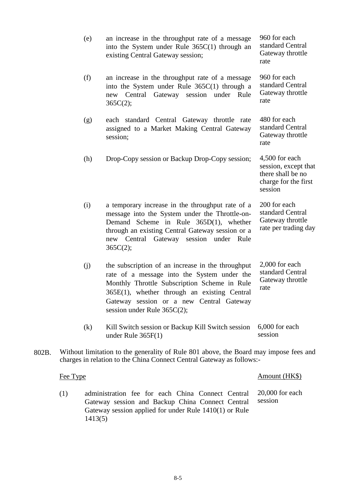|       |          | (e) | an increase in the throughput rate of a message<br>into the System under Rule $365C(1)$ through an<br>existing Central Gateway session;                                                                                                                                           | 960 for each<br>standard Central<br>Gateway throttle<br>rate                                   |
|-------|----------|-----|-----------------------------------------------------------------------------------------------------------------------------------------------------------------------------------------------------------------------------------------------------------------------------------|------------------------------------------------------------------------------------------------|
|       |          | (f) | an increase in the throughput rate of a message<br>into the System under Rule $365C(1)$ through a<br>Central Gateway session under Rule<br>new<br>365C(2);                                                                                                                        | 960 for each<br>standard Central<br>Gateway throttle<br>rate                                   |
|       |          | (g) | each standard Central Gateway throttle rate<br>assigned to a Market Making Central Gateway<br>session;                                                                                                                                                                            | 480 for each<br>standard Central<br>Gateway throttle<br>rate                                   |
|       |          | (h) | Drop-Copy session or Backup Drop-Copy session;                                                                                                                                                                                                                                    | 4,500 for each<br>session, except that<br>there shall be no<br>charge for the first<br>session |
|       |          | (i) | a temporary increase in the throughput rate of a<br>message into the System under the Throttle-on-<br>Demand Scheme in Rule 365D(1), whether<br>through an existing Central Gateway session or a<br>session under Rule<br>new Central<br>Gateway<br>365C(2);                      | 200 for each<br>standard Central<br>Gateway throttle<br>rate per trading day                   |
|       |          | (j) | the subscription of an increase in the throughput<br>rate of a message into the System under the<br>Monthly Throttle Subscription Scheme in Rule<br>$365E(1)$ , whether through an existing Central<br>Gateway session or a new Central Gateway<br>session under Rule $365C(2)$ ; | 2,000 for each<br>standard Central<br>Gateway throttle<br>rate                                 |
|       |          | (k) | Kill Switch session or Backup Kill Switch session<br>under Rule $365F(1)$                                                                                                                                                                                                         | 6,000 for each<br>session                                                                      |
| 802B. |          |     | Without limitation to the generality of Rule 801 above, the Board may impose fees and<br>charges in relation to the China Connect Central Gateway as follows:-                                                                                                                    |                                                                                                |
|       | Fee Type |     |                                                                                                                                                                                                                                                                                   | Amount (HK\$)                                                                                  |
|       | (1)      |     | administration fee for each China Connect Central 20,000 for each                                                                                                                                                                                                                 |                                                                                                |

(1) administration fee for each China Connect Central Gateway session and Backup China Connect Central Gateway session applied for under Rule 1410(1) or Rule 1413(5)  $0,000$  for eac session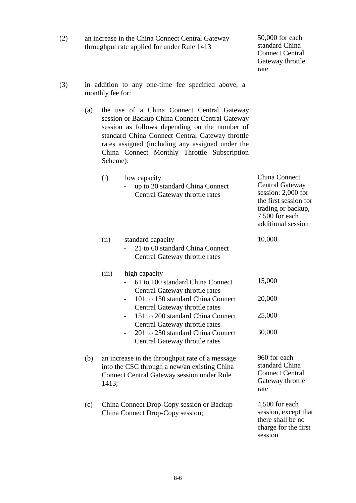| (2) |                                                                        | an increase in the China Connect Central Gateway<br>throughput rate applied for under Rule 1413                                                                                                                                                                                                                  | 50,000 for each<br>standard China<br><b>Connect Central</b><br>Gateway throttle<br>rate                                                                                                                                                                                                                    |                                                                                                                                                      |  |  |
|-----|------------------------------------------------------------------------|------------------------------------------------------------------------------------------------------------------------------------------------------------------------------------------------------------------------------------------------------------------------------------------------------------------|------------------------------------------------------------------------------------------------------------------------------------------------------------------------------------------------------------------------------------------------------------------------------------------------------------|------------------------------------------------------------------------------------------------------------------------------------------------------|--|--|
| (3) | in addition to any one-time fee specified above, a<br>monthly fee for: |                                                                                                                                                                                                                                                                                                                  |                                                                                                                                                                                                                                                                                                            |                                                                                                                                                      |  |  |
|     | (a)                                                                    | the use of a China Connect Central Gateway<br>session or Backup China Connect Central Gateway<br>session as follows depending on the number of<br>standard China Connect Central Gateway throttle<br>rates assigned (including any assigned under the<br>China Connect Monthly Throttle Subscription<br>Scheme): |                                                                                                                                                                                                                                                                                                            |                                                                                                                                                      |  |  |
|     |                                                                        | (i)                                                                                                                                                                                                                                                                                                              | low capacity<br>up to 20 standard China Connect<br>Central Gateway throttle rates                                                                                                                                                                                                                          | <b>China Connect</b><br>Central Gateway<br>session: 2,000 for<br>the first session for<br>trading or backup,<br>7,500 for each<br>additional session |  |  |
|     |                                                                        | (ii)                                                                                                                                                                                                                                                                                                             | standard capacity<br>21 to 60 standard China Connect<br>Central Gateway throttle rates                                                                                                                                                                                                                     | 10,000                                                                                                                                               |  |  |
|     |                                                                        | (iii)                                                                                                                                                                                                                                                                                                            | high capacity<br>61 to 100 standard China Connect<br>Central Gateway throttle rates<br>- 101 to 150 standard China Connect<br>Central Gateway throttle rates<br>151 to 200 standard China Connect<br>Central Gateway throttle rates<br>201 to 250 standard China Connect<br>Central Gateway throttle rates | 15,000<br>20,000<br>25,000<br>30,000                                                                                                                 |  |  |
|     | (b)                                                                    | an increase in the throughput rate of a message<br>into the CSC through a new/an existing China<br><b>Connect Central Gateway session under Rule</b><br>1413;                                                                                                                                                    |                                                                                                                                                                                                                                                                                                            | 960 for each<br>standard China<br><b>Connect Central</b><br>Gateway throttle<br>rate                                                                 |  |  |
|     | (c)                                                                    | China Connect Drop-Copy session or Backup<br>China Connect Drop-Copy session;                                                                                                                                                                                                                                    |                                                                                                                                                                                                                                                                                                            | 4,500 for each<br>session, except that<br>there shall be no<br>charge for the first<br>session                                                       |  |  |